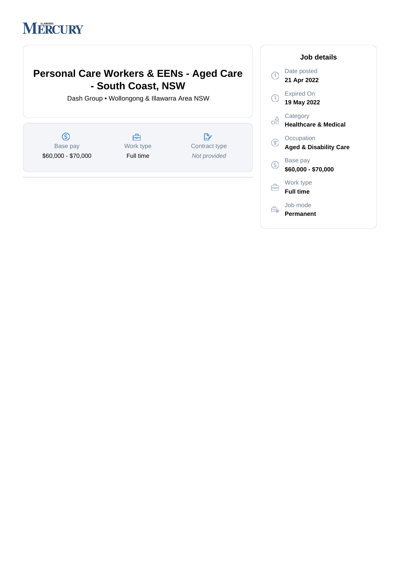# **MERCURY**

# **Personal Care Workers & EENs - Aged Care - South Coast, NSW**

Dash Group • Wollongong & Illawarra Area NSW

 $\circledS$ 曲  $\mathbb{R}^*$ Work type Base pay Contract type \$60,000 - \$70,000 Full time Not provided